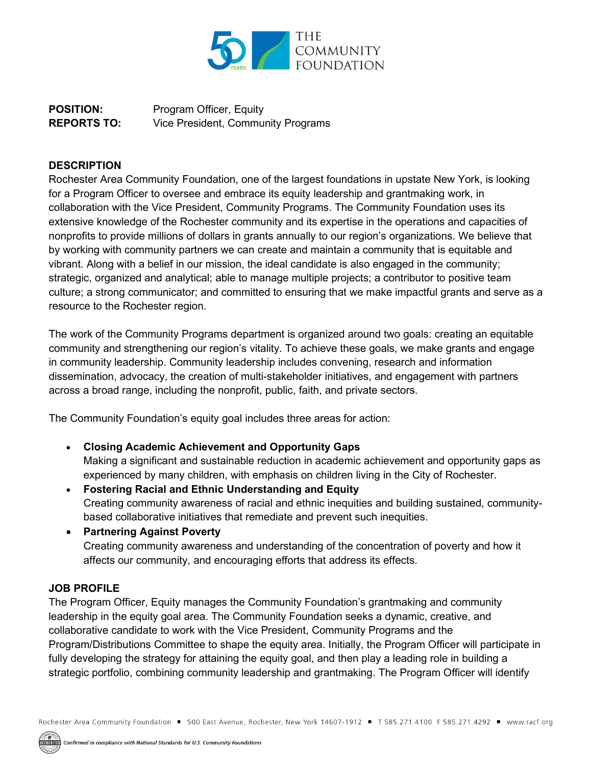

**POSITION:** Program Officer, Equity **REPORTS TO:** Vice President, Community Programs

## **DESCRIPTION**

Rochester Area Community Foundation, one of the largest foundations in upstate New York, is looking for a Program Officer to oversee and embrace its equity leadership and grantmaking work, in collaboration with the Vice President, Community Programs. The Community Foundation uses its extensive knowledge of the Rochester community and its expertise in the operations and capacities of nonprofits to provide millions of dollars in grants annually to our region's organizations. We believe that by working with community partners we can create and maintain a community that is equitable and vibrant. Along with a belief in our mission, the ideal candidate is also engaged in the community; strategic, organized and analytical; able to manage multiple projects; a contributor to positive team culture; a strong communicator; and committed to ensuring that we make impactful grants and serve as a resource to the Rochester region.

The work of the Community Programs department is organized around two goals: creating an equitable community and strengthening our region's vitality. To achieve these goals, we make grants and engage in community leadership. Community leadership includes convening, research and information dissemination, advocacy, the creation of multi-stakeholder initiatives, and engagement with partners across a broad range, including the nonprofit, public, faith, and private sectors.

The Community Foundation's equity goal includes three areas for action:

- **Closing Academic Achievement and Opportunity Gaps** Making a significant and sustainable reduction in academic achievement and opportunity gaps as experienced by many children, with emphasis on children living in the City of Rochester.
- **Fostering Racial and Ethnic Understanding and Equity** Creating community awareness of racial and ethnic inequities and building sustained, communitybased collaborative initiatives that remediate and prevent such inequities.
- **Partnering Against Poverty** Creating community awareness and understanding of the concentration of poverty and how it affects our community, and encouraging efforts that address its effects.

## **JOB PROFILE**

The Program Officer, Equity manages the Community Foundation's grantmaking and community leadership in the equity goal area. The Community Foundation seeks a dynamic, creative, and collaborative candidate to work with the Vice President, Community Programs and the Program/Distributions Committee to shape the equity area. Initially, the Program Officer will participate in fully developing the strategy for attaining the equity goal, and then play a leading role in building a strategic portfolio, combining community leadership and grantmaking. The Program Officer will identify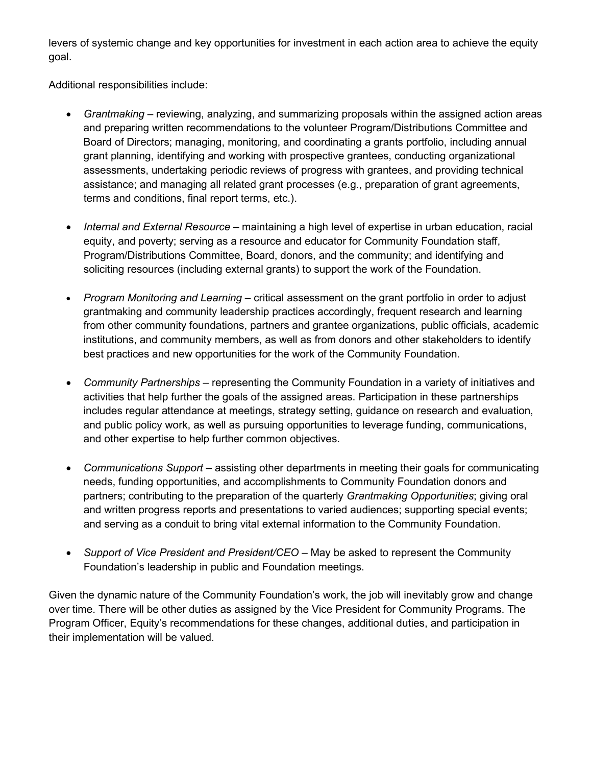levers of systemic change and key opportunities for investment in each action area to achieve the equity goal.

Additional responsibilities include:

- *Grantmaking* reviewing, analyzing, and summarizing proposals within the assigned action areas and preparing written recommendations to the volunteer Program/Distributions Committee and Board of Directors; managing, monitoring, and coordinating a grants portfolio, including annual grant planning, identifying and working with prospective grantees, conducting organizational assessments, undertaking periodic reviews of progress with grantees, and providing technical assistance; and managing all related grant processes (e.g., preparation of grant agreements, terms and conditions, final report terms, etc.).
- *Internal and External Resource*  maintaining a high level of expertise in urban education, racial equity, and poverty; serving as a resource and educator for Community Foundation staff, Program/Distributions Committee, Board, donors, and the community; and identifying and soliciting resources (including external grants) to support the work of the Foundation.
- *Program Monitoring and Learning* critical assessment on the grant portfolio in order to adjust grantmaking and community leadership practices accordingly, frequent research and learning from other community foundations, partners and grantee organizations, public officials, academic institutions, and community members, as well as from donors and other stakeholders to identify best practices and new opportunities for the work of the Community Foundation.
- *Community Partnerships*  representing the Community Foundation in a variety of initiatives and activities that help further the goals of the assigned areas. Participation in these partnerships includes regular attendance at meetings, strategy setting, guidance on research and evaluation, and public policy work, as well as pursuing opportunities to leverage funding, communications, and other expertise to help further common objectives.
- *Communications Support*  assisting other departments in meeting their goals for communicating needs, funding opportunities, and accomplishments to Community Foundation donors and partners; contributing to the preparation of the quarterly *Grantmaking Opportunities*; giving oral and written progress reports and presentations to varied audiences; supporting special events; and serving as a conduit to bring vital external information to the Community Foundation.
- *Support of Vice President and President/CEO* May be asked to represent the Community Foundation's leadership in public and Foundation meetings.

Given the dynamic nature of the Community Foundation's work, the job will inevitably grow and change over time. There will be other duties as assigned by the Vice President for Community Programs. The Program Officer, Equity's recommendations for these changes, additional duties, and participation in their implementation will be valued.